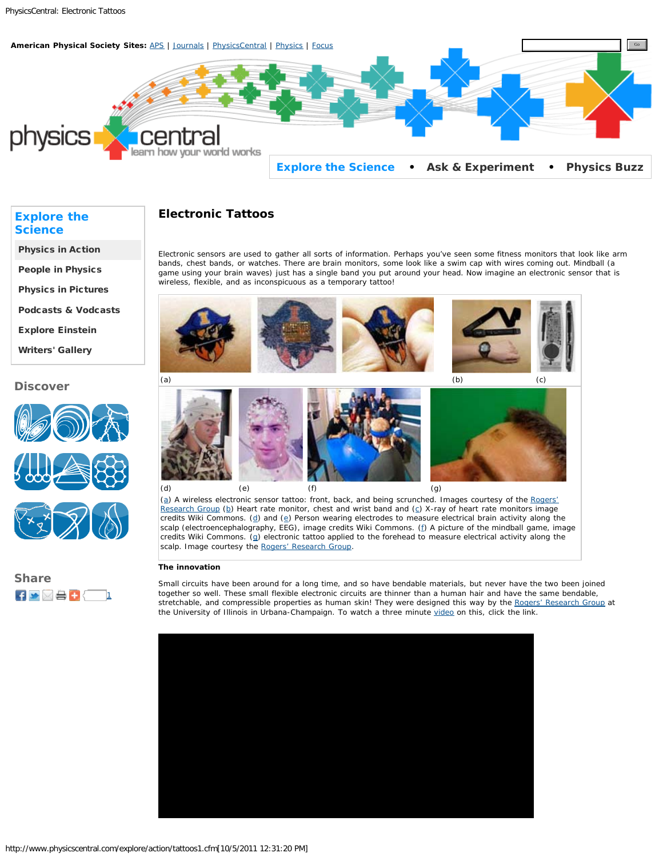<span id="page-0-0"></span>

# **Electronic Tattoos**

Electronic sensors are used to gather all sorts of information. Perhaps you've seen some fitness monitors that look like arm bands, chest bands, or watches. There are brain monitors, some look like a swim cap with wires coming out. Mindball (a game using your brain waves) just has a single band you put around your head. Now imagine an electronic sensor that is wireless, flexible, and as inconspicuous as a temporary tattoo!



[\(a](http://rogers.matse.illinois.edu/)) A wireless electronic sensor tattoo: front, back, and being scrunched. Images courtesy of the [Rogers'](http://rogers.matse.illinois.edu/) [Research Group](http://rogers.matse.illinois.edu/) ([b](http://en.wikipedia.org/wiki/File:Polar_RS400_Heart_Rate_Monitor.jpg)) Heart rate monitor, chest and wrist band and ([c\)](http://en.wikipedia.org/wiki/File:X-ray_heart_rate_monitor_sensor_belt.jpg) X-ray of heart rate monitors image cre[d](http://en.wikipedia.org/wiki/File:EEG_mit_32_Electroden.jpg)its Wiki Commons. ( $d$ ) and ( $e$ ) Person wearing electrodes to measure electrical brain activity along the scalp (electroencephalography, EEG), image credits Wiki Commons. [\(f](http://en.wikipedia.org/wiki/File:VImage000.jpg)) A picture of the mindball game, image credits Wiki Commons. ([g](http://rogers.matse.illinois.edu/)) electronic tattoo applied to the forehead to measure electrical activity along the scalp. Image courtesy the [Rogers' Research Group.](http://rogers.matse.illinois.edu/)

### **The innovation**

Small circuits have been around for a long time, and so have bendable materials, but never have the two been joined together so well. These small flexible electronic circuits are thinner than a human hair and have the same bendable, stretchable, and compressible properties as human skin! They were designed this way by the [Rogers' Research Group](http://rogers.matse.illinois.edu/) at the University of Illinois in Urbana-Champaign. To watch a three minute [video](http://youtu.be/fl1VS_kONlQ) on this, click the link.



## **[Explore the](http://www.physicscentral.com/explore) [Science](http://www.physicscentral.com/explore)**

[Physics in Action](http://www.physicscentral.com/explore/action/index.cfm)

[People in Physics](http://www.physicscentral.com/explore/people/index.cfm)

[Physics in Pictures](http://www.physicscentral.com/explore/pictures/index.cfm)

[Podcasts & Vodcasts](http://www.physicscentral.com/explore/multimedia/index.cfm)

[Explore Einstein](http://www.physicscentral.com/explore/einstein/index.cfm)

[Writers' Gallery](http://www.physicscentral.com/explore/writers/index.cfm)

### **Discover**



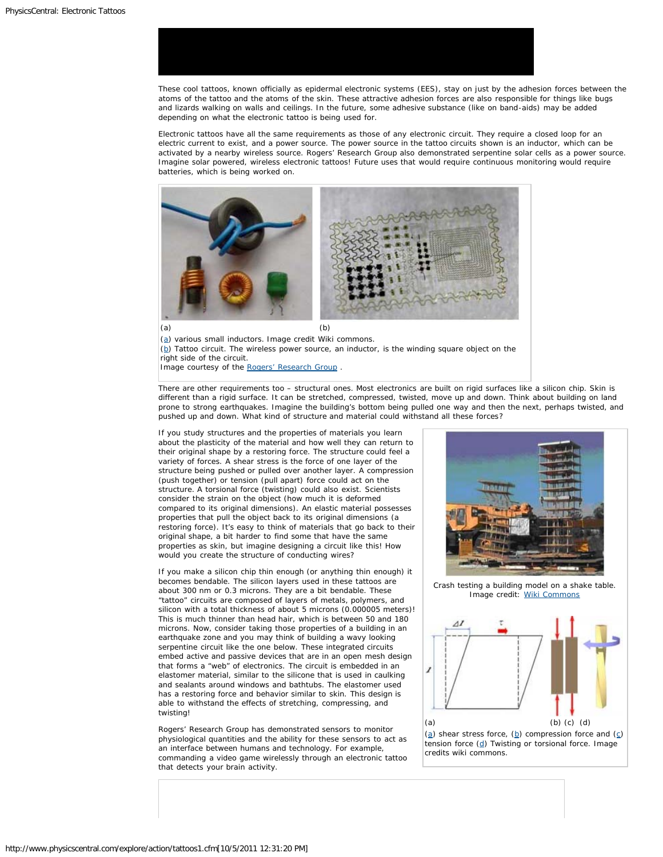

These cool tattoos, known officially as epidermal electronic systems (EES), stay on just by the adhesion forces between the atoms of the tattoo and the atoms of the skin. These attractive adhesion forces are also responsible for things like bugs and lizards walking on walls and ceilings. In the future, some adhesive substance (like on band-aids) may be added depending on what the electronic tattoo is being used for.

Electronic tattoos have all the same requirements as those of any electronic circuit. They require a closed loop for an electric current to exist, and a power source. The power source in the tattoo circuits shown is an inductor, which can be activated by a nearby wireless source. Rogers' Research Group also demonstrated serpentine solar cells as a power source. Imagine solar powered, wireless electronic tattoos! Future uses that would require continuous monitoring would require batteries, which is being worked on.



[\(a](http://en.wikipedia.org/wiki/File:Electronic_component_inductors.jpg)) various small inductors. Image credit Wiki commons.  $(p)$  Tattoo circuit. The wireless power source, an inductor, is the winding square object on the right side of the circuit. Image courtesy of the Rogers' Research Group.

There are other requirements too – structural ones. Most electronics are built on rigid surfaces like a silicon chip. Skin is different than a rigid surface. It can be stretched, compressed, twisted, move up and down. Think about building on land prone to strong earthquakes. Imagine the building's bottom being pulled one way and then the next, perhaps twisted, and pushed up and down. What kind of structure and material could withstand all these forces?

If you study structures and the properties of materials you learn about the plasticity of the material and how well they can return to their original shape by a restoring force. The structure could feel a variety of forces. A shear stress is the force of one layer of the structure being pushed or pulled over another layer. A compression (push together) or tension (pull apart) force could act on the structure. A torsional force (twisting) could also exist. Scientists consider the strain on the object (how much it is deformed compared to its original dimensions). An elastic material possesses properties that pull the object back to its original dimensions (a restoring force). It's easy to think of materials that go back to their original shape, a bit harder to find some that have the same properties as skin, but imagine designing a circuit like this! How would you create the structure of conducting wires?

If you make a silicon chip thin enough (or anything thin enough) it becomes bendable. The silicon layers used in these tattoos are about 300 nm or 0.3 microns. They are a bit bendable. These "tattoo" circuits are composed of layers of metals, polymers, and silicon with a total thickness of about 5 microns (0.000005 meters)! This is much thinner than head hair, which is between 50 and 180 microns. Now, consider taking those properties of a building in an earthquake zone and you may think of building a wavy looking serpentine circuit like the one below. These integrated circuits embed active and passive devices that are in an open mesh design that forms a "web" of electronics. The circuit is embedded in an elastomer material, similar to the silicone that is used in caulking and sealants around windows and bathtubs. The elastomer used has a restoring force and behavior similar to skin. This design is able to withstand the effects of stretching, compressing, and twisting!

Rogers' Research Group has demonstrated sensors to monitor physiological quantities and the ability for these sensors to act as an interface between humans and technology. For example, commanding a video game wirelessly through an electronic tattoo that detects your brain activity.



Crash testing a building model on a shake table. Image credit: [Wiki Commons](http://en.wikipedia.org/wiki/File:Snapshot_of_earthquake-like_crash_testing.jpg)



( $\underline{a}$ ) shear stress force, ( $\underline{b}$ ) compression force and ( $\underline{c}$ ) tension force  $(d)$  $(d)$  Twisting or torsional force. Image credits wiki commons.